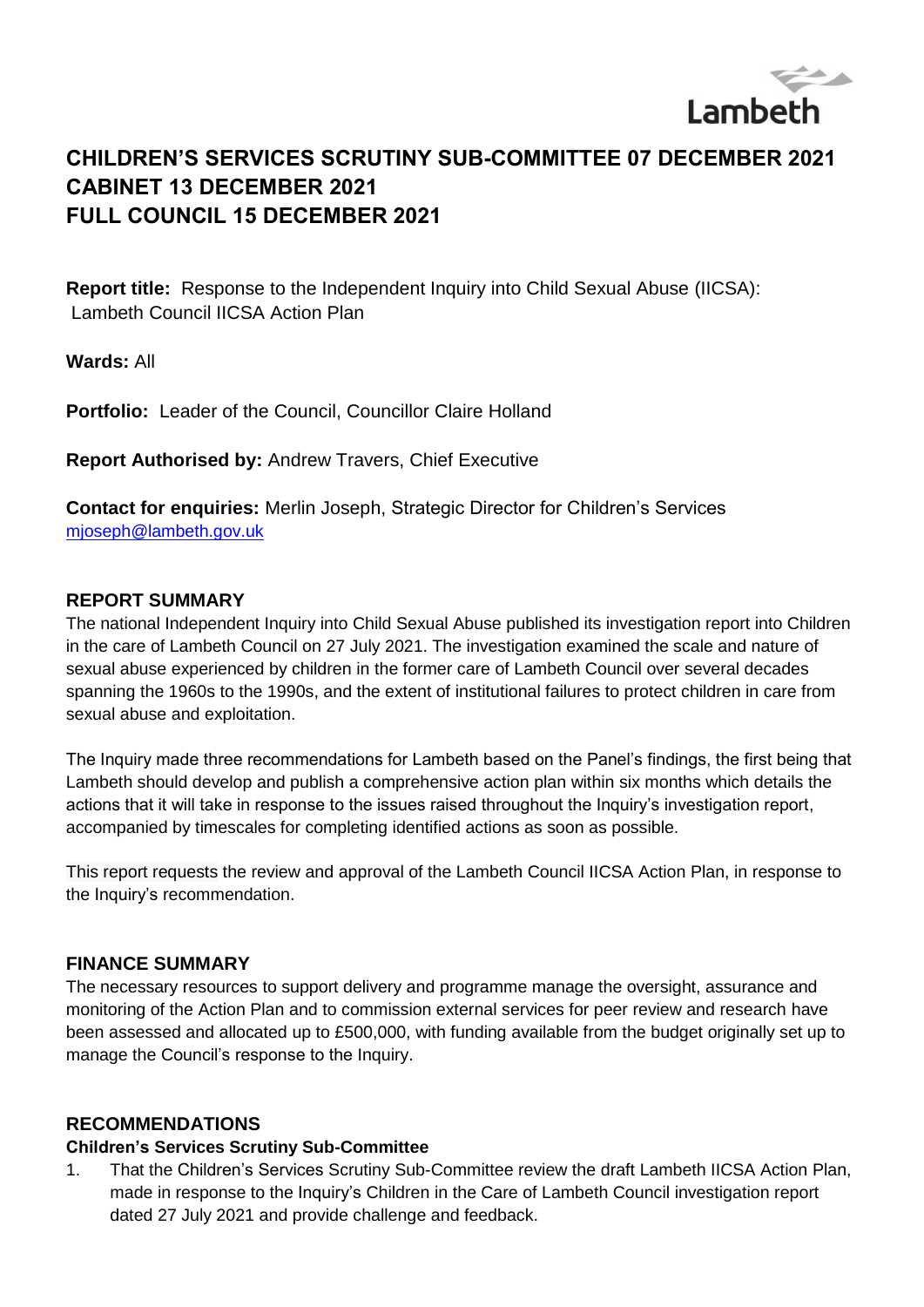

# **CHILDREN'S SERVICES SCRUTINY SUB-COMMITTEE 07 DECEMBER 2021 CABINET 13 DECEMBER 2021 FULL COUNCIL 15 DECEMBER 2021**

**Report title:** Response to the Independent Inquiry into Child Sexual Abuse (IICSA): Lambeth Council IICSA Action Plan

**Wards:** All

**Portfolio:** Leader of the Council, Councillor Claire Holland

**Report Authorised by:** Andrew Travers, Chief Executive

**Contact for enquiries:** Merlin Joseph, Strategic Director for Children's Services [mjoseph@lambeth.gov.uk](mailto:mjoseph@lambeth.gov.uk)

#### **REPORT SUMMARY**

The national Independent Inquiry into Child Sexual Abuse published its investigation report into Children in the care of Lambeth Council on 27 July 2021. The investigation examined the scale and nature of sexual abuse experienced by children in the former care of Lambeth Council over several decades spanning the 1960s to the 1990s, and the extent of institutional failures to protect children in care from sexual abuse and exploitation.

The Inquiry made three recommendations for Lambeth based on the Panel's findings, the first being that Lambeth should develop and publish a comprehensive action plan within six months which details the actions that it will take in response to the issues raised throughout the Inquiry's investigation report, accompanied by timescales for completing identified actions as soon as possible.

This report requests the review and approval of the Lambeth Council IICSA Action Plan, in response to the Inquiry's recommendation.

#### **FINANCE SUMMARY**

The necessary resources to support delivery and programme manage the oversight, assurance and monitoring of the Action Plan and to commission external services for peer review and research have been assessed and allocated up to £500,000, with funding available from the budget originally set up to manage the Council's response to the Inquiry.

#### **RECOMMENDATIONS**

#### **Children's Services Scrutiny Sub-Committee**

1. That the Children's Services Scrutiny Sub-Committee review the draft Lambeth IICSA Action Plan, made in response to the Inquiry's Children in the Care of Lambeth Council investigation report dated 27 July 2021 and provide challenge and feedback.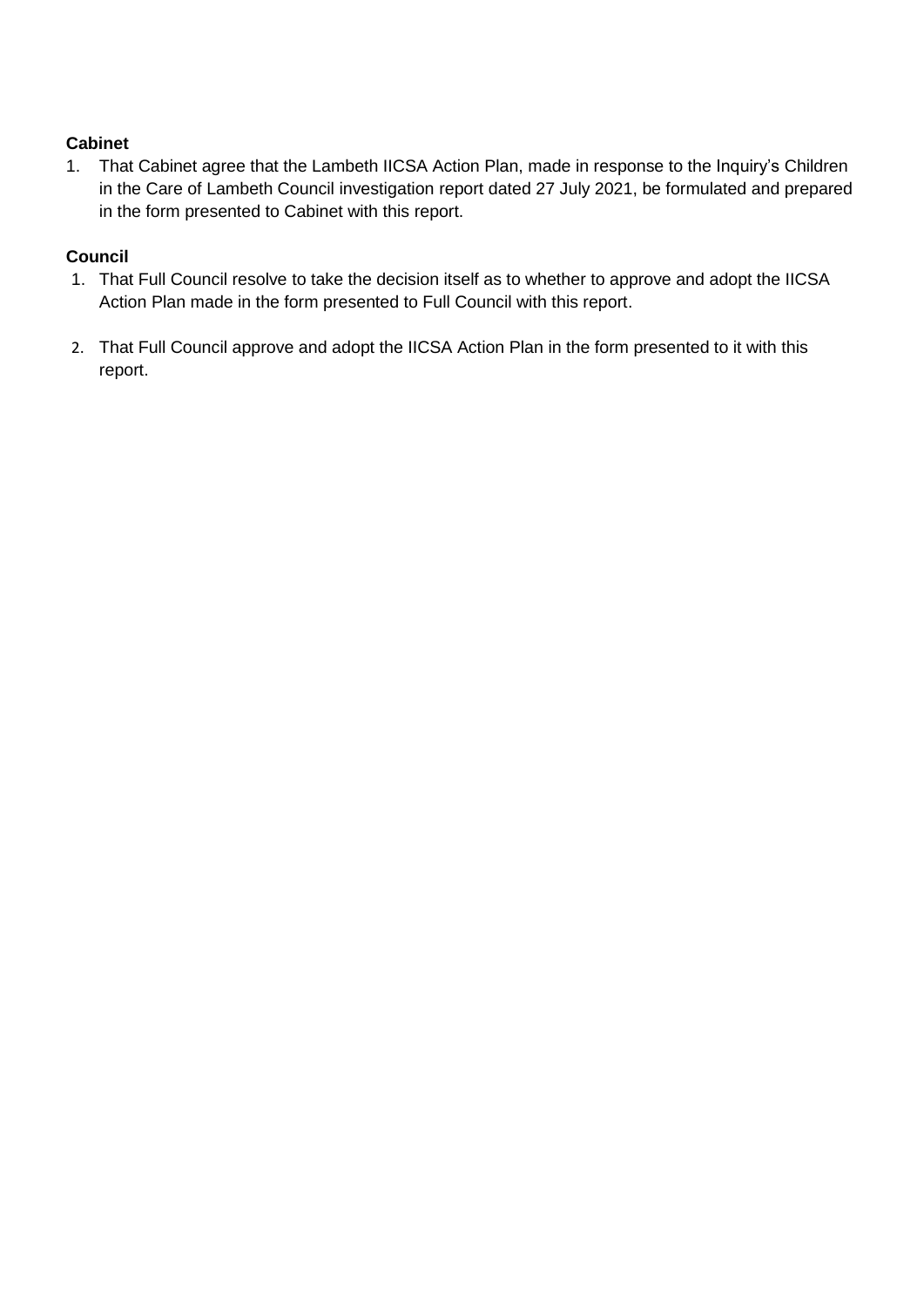#### **Cabinet**

1. That Cabinet agree that the Lambeth IICSA Action Plan, made in response to the Inquiry's Children in the Care of Lambeth Council investigation report dated 27 July 2021, be formulated and prepared in the form presented to Cabinet with this report.

#### **Council**

- 1. That Full Council resolve to take the decision itself as to whether to approve and adopt the IICSA Action Plan made in the form presented to Full Council with this report.
- 2. That Full Council approve and adopt the IICSA Action Plan in the form presented to it with this report.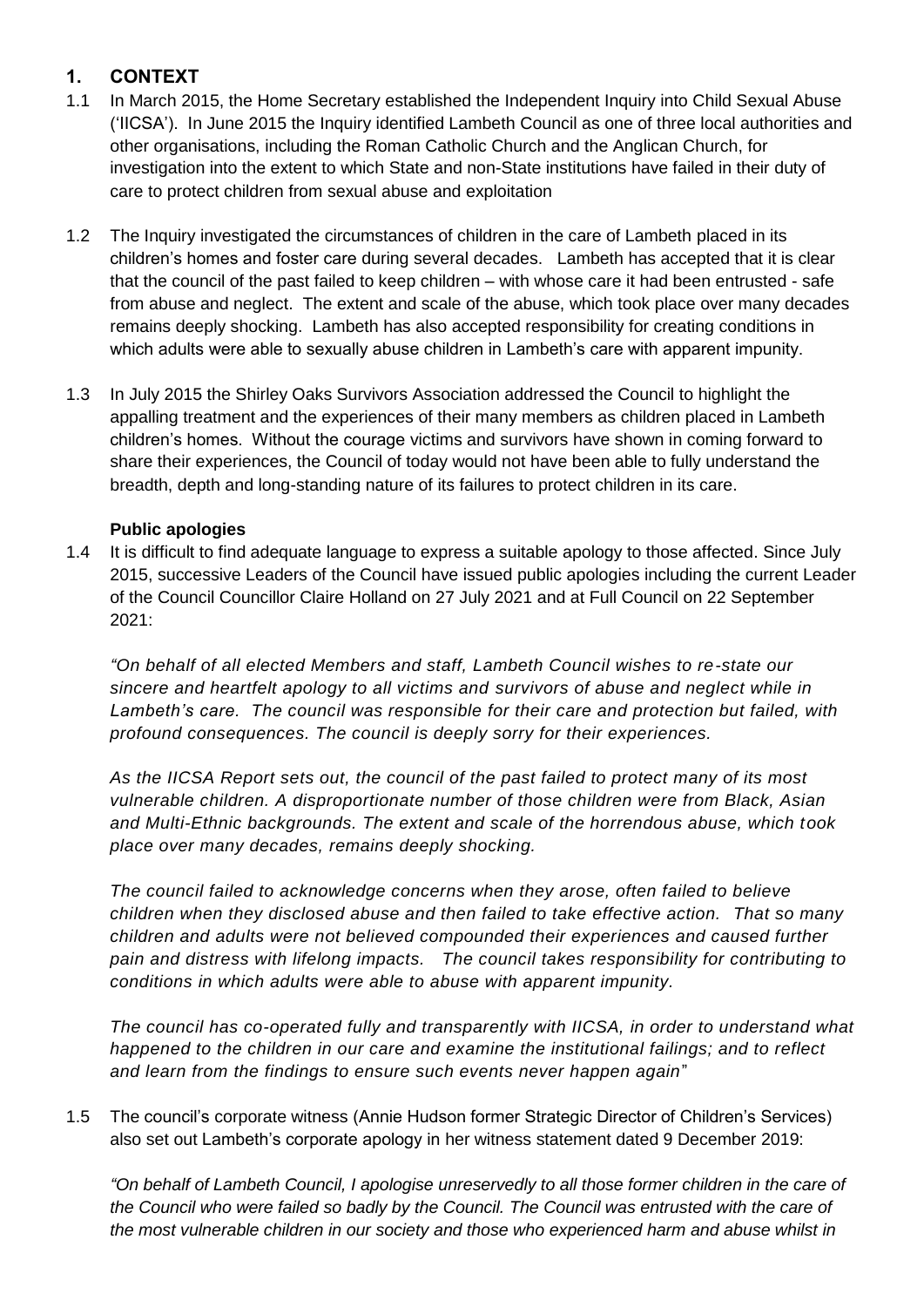# **1. CONTEXT**

- 1.1 In March 2015, the Home Secretary established the Independent Inquiry into Child Sexual Abuse ('IICSA'). In June 2015 the Inquiry identified Lambeth Council as one of three local authorities and other organisations, including the Roman Catholic Church and the Anglican Church, for investigation into the extent to which State and non-State institutions have failed in their duty of care to protect children from sexual abuse and exploitation
- 1.2 The Inquiry investigated the circumstances of children in the care of Lambeth placed in its children's homes and foster care during several decades. Lambeth has accepted that it is clear that the council of the past failed to keep children – with whose care it had been entrusted - safe from abuse and neglect. The extent and scale of the abuse, which took place over many decades remains deeply shocking. Lambeth has also accepted responsibility for creating conditions in which adults were able to sexually abuse children in Lambeth's care with apparent impunity.
- 1.3 In July 2015 the Shirley Oaks Survivors Association addressed the Council to highlight the appalling treatment and the experiences of their many members as children placed in Lambeth children's homes. Without the courage victims and survivors have shown in coming forward to share their experiences, the Council of today would not have been able to fully understand the breadth, depth and long-standing nature of its failures to protect children in its care.

#### **Public apologies**

1.4 It is difficult to find adequate language to express a suitable apology to those affected. Since July 2015, successive Leaders of the Council have issued public apologies including the current Leader of the Council Councillor Claire Holland on 27 July 2021 and at Full Council on 22 September 2021:

*"On behalf of all elected Members and staff, Lambeth Council wishes to re-state our sincere and heartfelt apology to all victims and survivors of abuse and neglect while in Lambeth's care. The council was responsible for their care and protection but failed, with profound consequences. The council is deeply sorry for their experiences.*

*As the IICSA Report sets out, the council of the past failed to protect many of its most vulnerable children. A disproportionate number of those children were from Black, Asian and Multi-Ethnic backgrounds. The extent and scale of the horrendous abuse, which took place over many decades, remains deeply shocking.*

*The council failed to acknowledge concerns when they arose, often failed to believe children when they disclosed abuse and then failed to take effective action. That so many children and adults were not believed compounded their experiences and caused further pain and distress with lifelong impacts. The council takes responsibility for contributing to conditions in which adults were able to abuse with apparent impunity.*

*The council has co-operated fully and transparently with IICSA, in order to understand what happened to the children in our care and examine the institutional failings; and to reflect and learn from the findings to ensure such events never happen again*"

1.5 The council's corporate witness (Annie Hudson former Strategic Director of Children's Services) also set out Lambeth's corporate apology in her witness statement dated 9 December 2019:

*"On behalf of Lambeth Council, I apologise unreservedly to all those former children in the care of the Council who were failed so badly by the Council. The Council was entrusted with the care of the most vulnerable children in our society and those who experienced harm and abuse whilst in*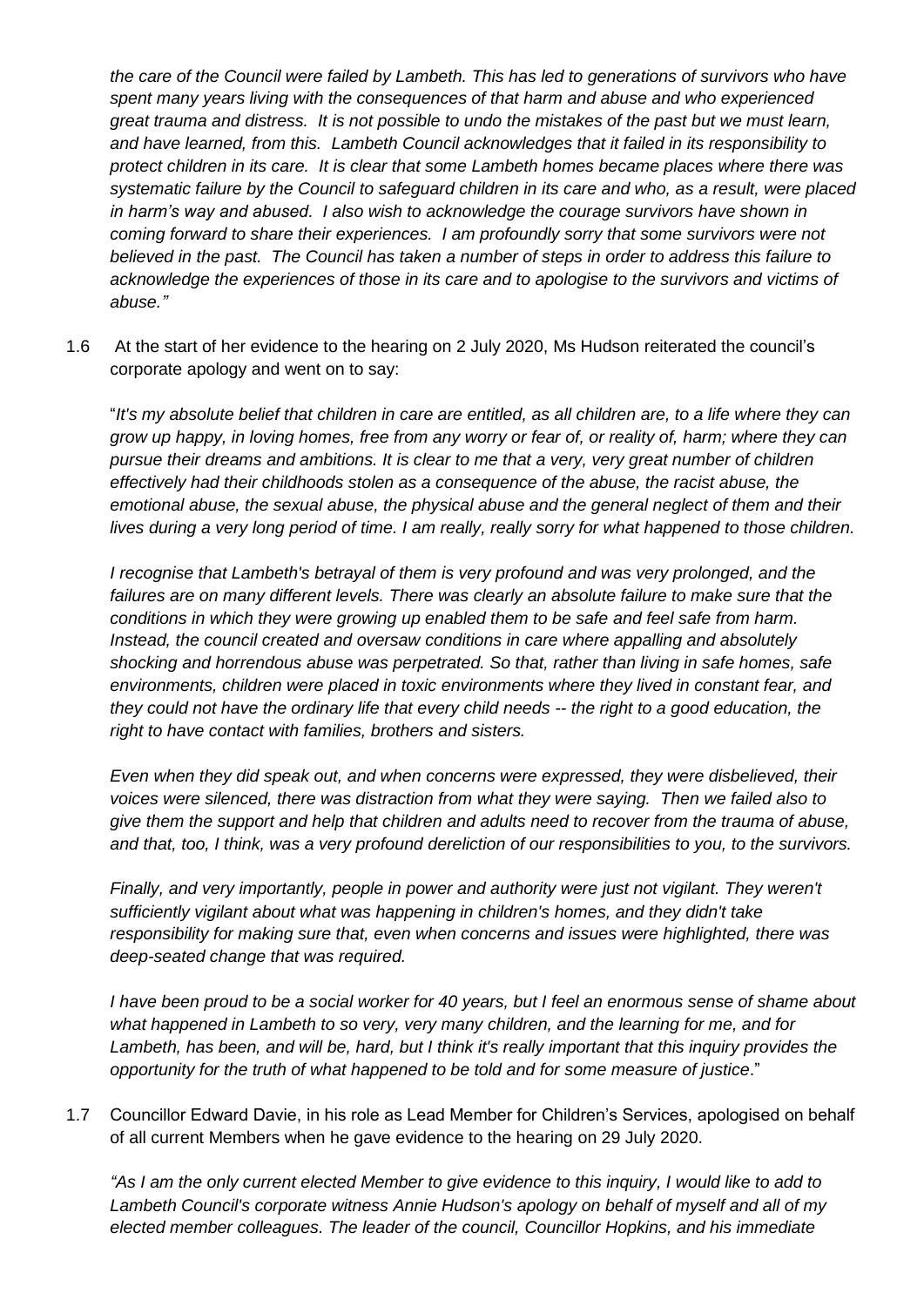*the care of the Council were failed by Lambeth. This has led to generations of survivors who have spent many years living with the consequences of that harm and abuse and who experienced great trauma and distress. It is not possible to undo the mistakes of the past but we must learn, and have learned, from this. Lambeth Council acknowledges that it failed in its responsibility to protect children in its care. It is clear that some Lambeth homes became places where there was systematic failure by the Council to safeguard children in its care and who, as a result, were placed in harm's way and abused. I also wish to acknowledge the courage survivors have shown in coming forward to share their experiences. I am profoundly sorry that some survivors were not believed in the past. The Council has taken a number of steps in order to address this failure to acknowledge the experiences of those in its care and to apologise to the survivors and victims of abuse."*

1.6 At the start of her evidence to the hearing on 2 July 2020, Ms Hudson reiterated the council's corporate apology and went on to say:

"*It's my absolute belief that children in care are entitled, as all children are, to a life where they can grow up happy, in loving homes, free from any worry or fear of, or reality of, harm; where they can pursue their dreams and ambitions. It is clear to me that a very, very great number of children effectively had their childhoods stolen as a consequence of the abuse, the racist abuse, the emotional abuse, the sexual abuse, the physical abuse and the general neglect of them and their lives during a very long period of time. I am really, really sorry for what happened to those children.* 

*I recognise that Lambeth's betrayal of them is very profound and was very prolonged, and the failures are on many different levels. There was clearly an absolute failure to make sure that the conditions in which they were growing up enabled them to be safe and feel safe from harm. Instead, the council created and oversaw conditions in care where appalling and absolutely shocking and horrendous abuse was perpetrated. So that, rather than living in safe homes, safe environments, children were placed in toxic environments where they lived in constant fear, and they could not have the ordinary life that every child needs -- the right to a good education, the right to have contact with families, brothers and sisters.*

*Even when they did speak out, and when concerns were expressed, they were disbelieved, their voices were silenced, there was distraction from what they were saying. Then we failed also to give them the support and help that children and adults need to recover from the trauma of abuse, and that, too, I think, was a very profound dereliction of our responsibilities to you, to the survivors.*

*Finally, and very importantly, people in power and authority were just not vigilant. They weren't sufficiently vigilant about what was happening in children's homes, and they didn't take responsibility for making sure that, even when concerns and issues were highlighted, there was deep-seated change that was required.*

*I have been proud to be a social worker for 40 years, but I feel an enormous sense of shame about what happened in Lambeth to so very, very many children, and the learning for me, and for Lambeth, has been, and will be, hard, but I think it's really important that this inquiry provides the opportunity for the truth of what happened to be told and for some measure of justice*."

1.7 Councillor Edward Davie, in his role as Lead Member for Children's Services, apologised on behalf of all current Members when he gave evidence to the hearing on 29 July 2020.

*"As I am the only current elected Member to give evidence to this inquiry, I would like to add to Lambeth Council's corporate witness Annie Hudson's apology on behalf of myself and all of my elected member colleagues. The leader of the council, Councillor Hopkins, and his immediate*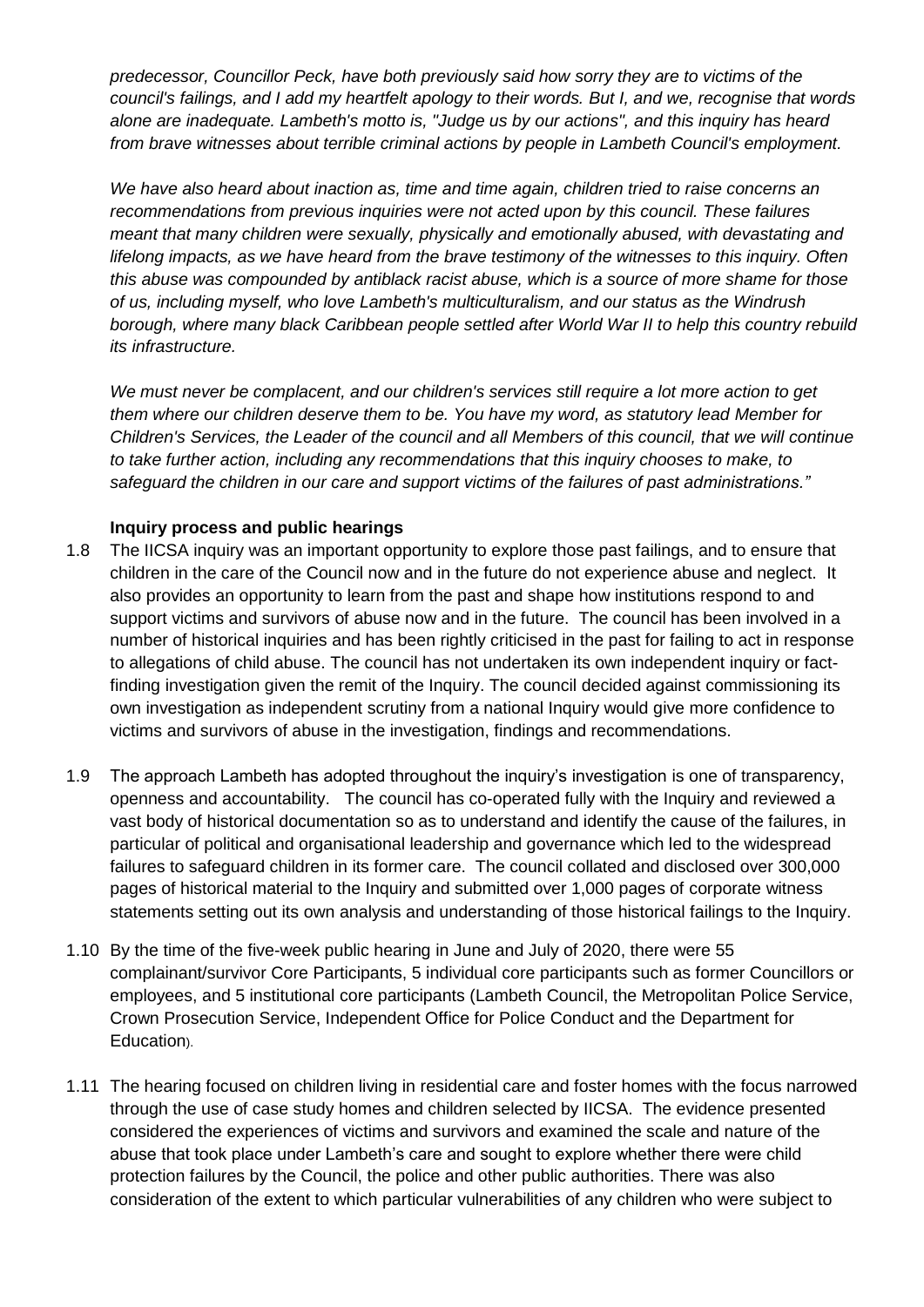*predecessor, Councillor Peck, have both previously said how sorry they are to victims of the council's failings, and I add my heartfelt apology to their words. But I, and we, recognise that words alone are inadequate. Lambeth's motto is, "Judge us by our actions", and this inquiry has heard from brave witnesses about terrible criminal actions by people in Lambeth Council's employment.* 

*We have also heard about inaction as, time and time again, children tried to raise concerns an recommendations from previous inquiries were not acted upon by this council. These failures meant that many children were sexually, physically and emotionally abused, with devastating and lifelong impacts, as we have heard from the brave testimony of the witnesses to this inquiry. Often this abuse was compounded by antiblack racist abuse, which is a source of more shame for those of us, including myself, who love Lambeth's multiculturalism, and our status as the Windrush borough, where many black Caribbean people settled after World War II to help this country rebuild its infrastructure.* 

*We must never be complacent, and our children's services still require a lot more action to get them where our children deserve them to be. You have my word, as statutory lead Member for Children's Services, the Leader of the council and all Members of this council, that we will continue to take further action, including any recommendations that this inquiry chooses to make, to safeguard the children in our care and support victims of the failures of past administrations."*

#### **Inquiry process and public hearings**

- 1.8 The IICSA inquiry was an important opportunity to explore those past failings, and to ensure that children in the care of the Council now and in the future do not experience abuse and neglect. It also provides an opportunity to learn from the past and shape how institutions respond to and support victims and survivors of abuse now and in the future. The council has been involved in a number of historical inquiries and has been rightly criticised in the past for failing to act in response to allegations of child abuse. The council has not undertaken its own independent inquiry or factfinding investigation given the remit of the Inquiry. The council decided against commissioning its own investigation as independent scrutiny from a national Inquiry would give more confidence to victims and survivors of abuse in the investigation, findings and recommendations.
- 1.9 The approach Lambeth has adopted throughout the inquiry's investigation is one of transparency, openness and accountability. The council has co-operated fully with the Inquiry and reviewed a vast body of historical documentation so as to understand and identify the cause of the failures, in particular of political and organisational leadership and governance which led to the widespread failures to safeguard children in its former care. The council collated and disclosed over 300,000 pages of historical material to the Inquiry and submitted over 1,000 pages of corporate witness statements setting out its own analysis and understanding of those historical failings to the Inquiry.
- 1.10 By the time of the five-week public hearing in June and July of 2020, there were 55 complainant/survivor Core Participants, 5 individual core participants such as former Councillors or employees, and 5 institutional core participants (Lambeth Council, the Metropolitan Police Service, Crown Prosecution Service, Independent Office for Police Conduct and the Department for Education).
- 1.11 The hearing focused on children living in residential care and foster homes with the focus narrowed through the use of case study homes and children selected by IICSA. The evidence presented considered the experiences of victims and survivors and examined the scale and nature of the abuse that took place under Lambeth's care and sought to explore whether there were child protection failures by the Council, the police and other public authorities. There was also consideration of the extent to which particular vulnerabilities of any children who were subject to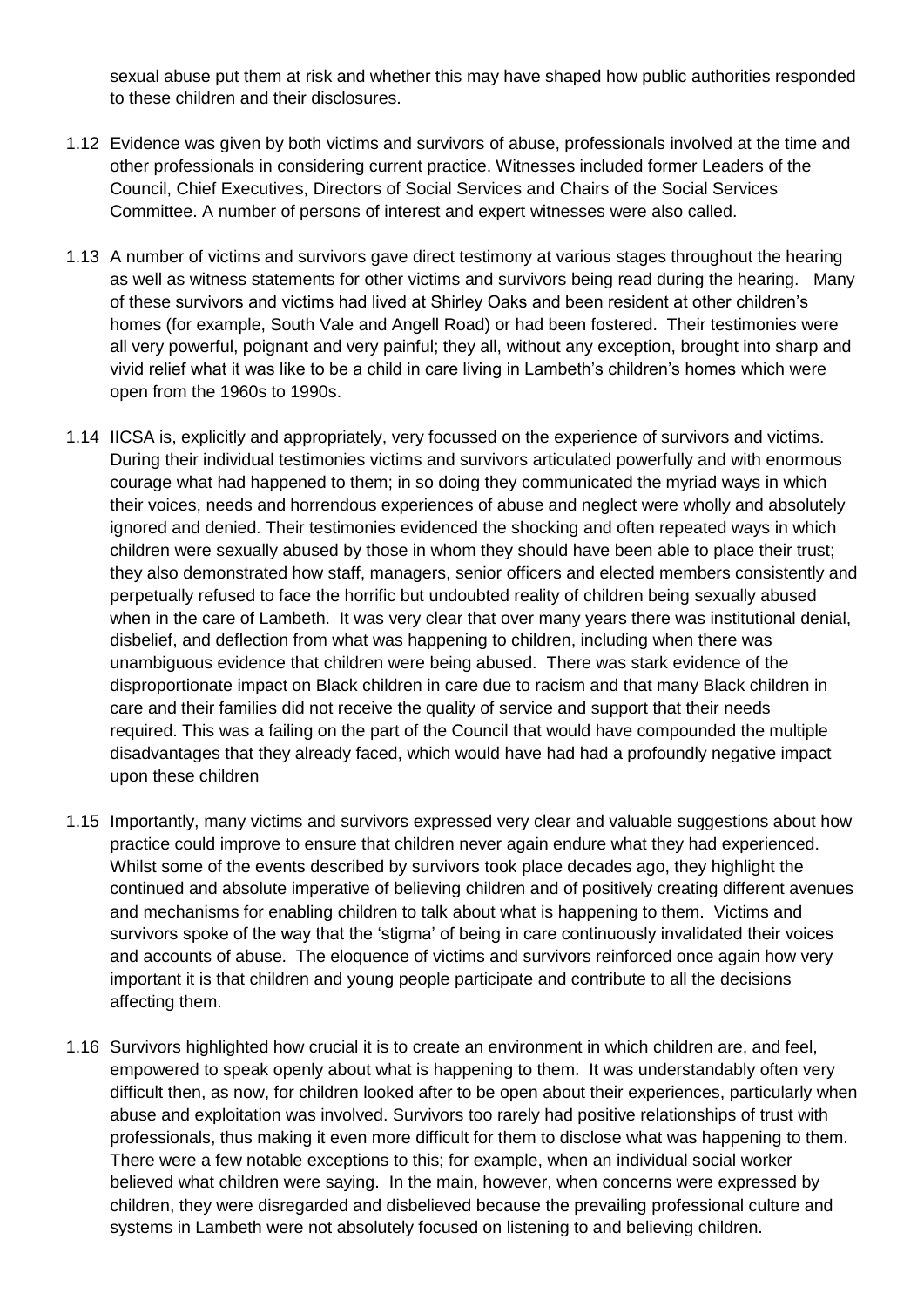sexual abuse put them at risk and whether this may have shaped how public authorities responded to these children and their disclosures.

- 1.12 Evidence was given by both victims and survivors of abuse, professionals involved at the time and other professionals in considering current practice. Witnesses included former Leaders of the Council, Chief Executives, Directors of Social Services and Chairs of the Social Services Committee. A number of persons of interest and expert witnesses were also called.
- 1.13 A number of victims and survivors gave direct testimony at various stages throughout the hearing as well as witness statements for other victims and survivors being read during the hearing. Many of these survivors and victims had lived at Shirley Oaks and been resident at other children's homes (for example, South Vale and Angell Road) or had been fostered. Their testimonies were all very powerful, poignant and very painful; they all, without any exception, brought into sharp and vivid relief what it was like to be a child in care living in Lambeth's children's homes which were open from the 1960s to 1990s.
- 1.14 IICSA is, explicitly and appropriately, very focussed on the experience of survivors and victims. During their individual testimonies victims and survivors articulated powerfully and with enormous courage what had happened to them; in so doing they communicated the myriad ways in which their voices, needs and horrendous experiences of abuse and neglect were wholly and absolutely ignored and denied. Their testimonies evidenced the shocking and often repeated ways in which children were sexually abused by those in whom they should have been able to place their trust; they also demonstrated how staff, managers, senior officers and elected members consistently and perpetually refused to face the horrific but undoubted reality of children being sexually abused when in the care of Lambeth. It was very clear that over many years there was institutional denial, disbelief, and deflection from what was happening to children, including when there was unambiguous evidence that children were being abused. There was stark evidence of the disproportionate impact on Black children in care due to racism and that many Black children in care and their families did not receive the quality of service and support that their needs required. This was a failing on the part of the Council that would have compounded the multiple disadvantages that they already faced, which would have had had a profoundly negative impact upon these children
- 1.15 Importantly, many victims and survivors expressed very clear and valuable suggestions about how practice could improve to ensure that children never again endure what they had experienced. Whilst some of the events described by survivors took place decades ago, they highlight the continued and absolute imperative of believing children and of positively creating different avenues and mechanisms for enabling children to talk about what is happening to them. Victims and survivors spoke of the way that the 'stigma' of being in care continuously invalidated their voices and accounts of abuse. The eloquence of victims and survivors reinforced once again how very important it is that children and young people participate and contribute to all the decisions affecting them.
- 1.16 Survivors highlighted how crucial it is to create an environment in which children are, and feel, empowered to speak openly about what is happening to them. It was understandably often very difficult then, as now, for children looked after to be open about their experiences, particularly when abuse and exploitation was involved. Survivors too rarely had positive relationships of trust with professionals, thus making it even more difficult for them to disclose what was happening to them. There were a few notable exceptions to this; for example, when an individual social worker believed what children were saying. In the main, however, when concerns were expressed by children, they were disregarded and disbelieved because the prevailing professional culture and systems in Lambeth were not absolutely focused on listening to and believing children.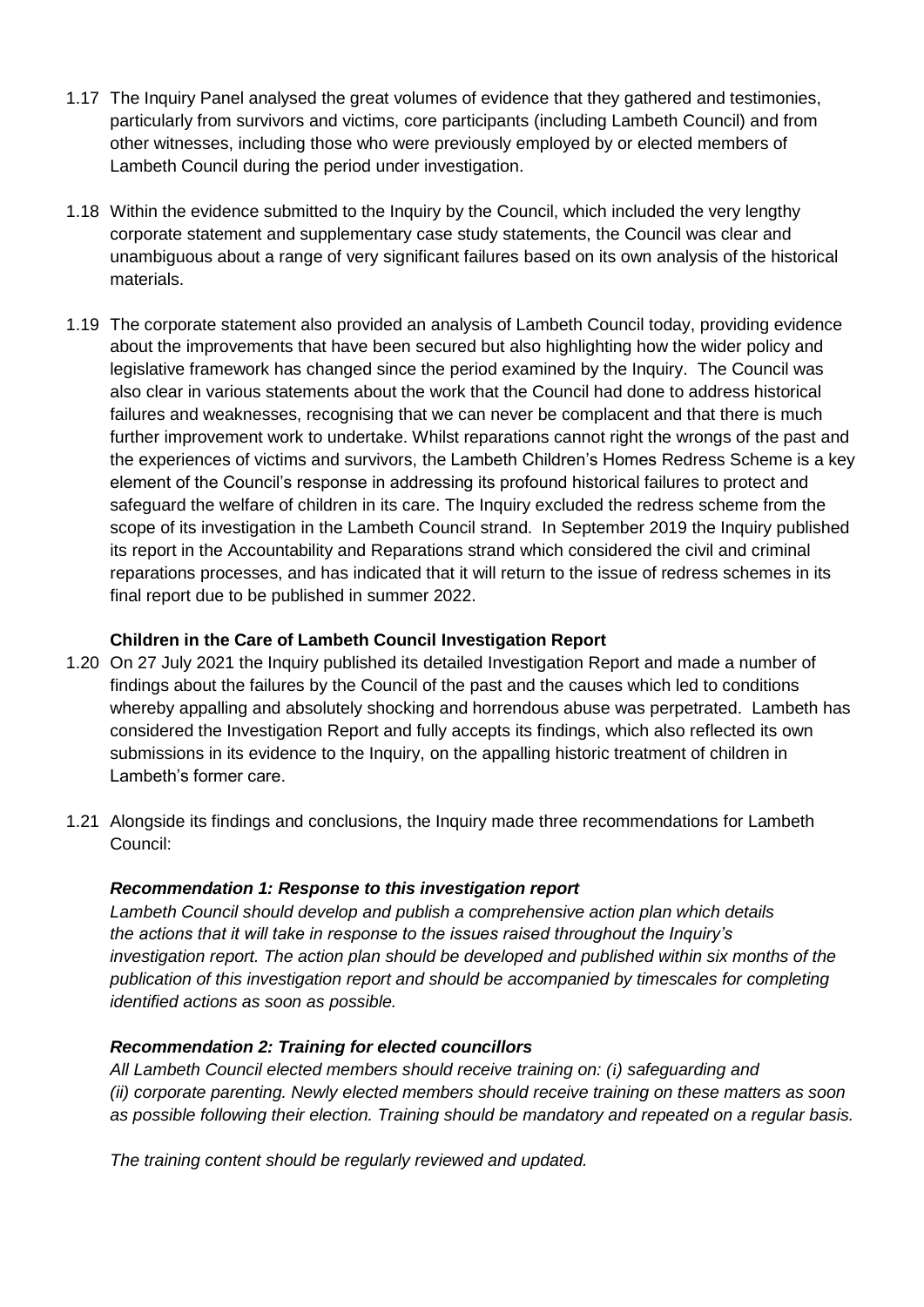- 1.17 The Inquiry Panel analysed the great volumes of evidence that they gathered and testimonies, particularly from survivors and victims, core participants (including Lambeth Council) and from other witnesses, including those who were previously employed by or elected members of Lambeth Council during the period under investigation.
- 1.18 Within the evidence submitted to the Inquiry by the Council, which included the very lengthy corporate statement and supplementary case study statements, the Council was clear and unambiguous about a range of very significant failures based on its own analysis of the historical materials.
- 1.19 The corporate statement also provided an analysis of Lambeth Council today, providing evidence about the improvements that have been secured but also highlighting how the wider policy and legislative framework has changed since the period examined by the Inquiry. The Council was also clear in various statements about the work that the Council had done to address historical failures and weaknesses, recognising that we can never be complacent and that there is much further improvement work to undertake. Whilst reparations cannot right the wrongs of the past and the experiences of victims and survivors, the Lambeth Children's Homes Redress Scheme is a key element of the Council's response in addressing its profound historical failures to protect and safeguard the welfare of children in its care. The Inquiry excluded the redress scheme from the scope of its investigation in the Lambeth Council strand. In September 2019 the Inquiry published its report in the Accountability and Reparations strand which considered the civil and criminal reparations processes, and has indicated that it will return to the issue of redress schemes in its final report due to be published in summer 2022.

#### **Children in the Care of Lambeth Council Investigation Report**

- 1.20 On 27 July 2021 the Inquiry published its detailed Investigation Report and made a number of findings about the failures by the Council of the past and the causes which led to conditions whereby appalling and absolutely shocking and horrendous abuse was perpetrated. Lambeth has considered the Investigation Report and fully accepts its findings, which also reflected its own submissions in its evidence to the Inquiry, on the appalling historic treatment of children in Lambeth's former care.
- 1.21 Alongside its findings and conclusions, the Inquiry made three recommendations for Lambeth Council:

#### *Recommendation 1: Response to this investigation report*

*Lambeth Council should develop and publish a comprehensive action plan which details the actions that it will take in response to the issues raised throughout the Inquiry's investigation report. The action plan should be developed and published within six months of the publication of this investigation report and should be accompanied by timescales for completing identified actions as soon as possible.*

#### *Recommendation 2: Training for elected councillors*

*All Lambeth Council elected members should receive training on: (i) safeguarding and (ii) corporate parenting. Newly elected members should receive training on these matters as soon as possible following their election. Training should be mandatory and repeated on a regular basis.*

*The training content should be regularly reviewed and updated.*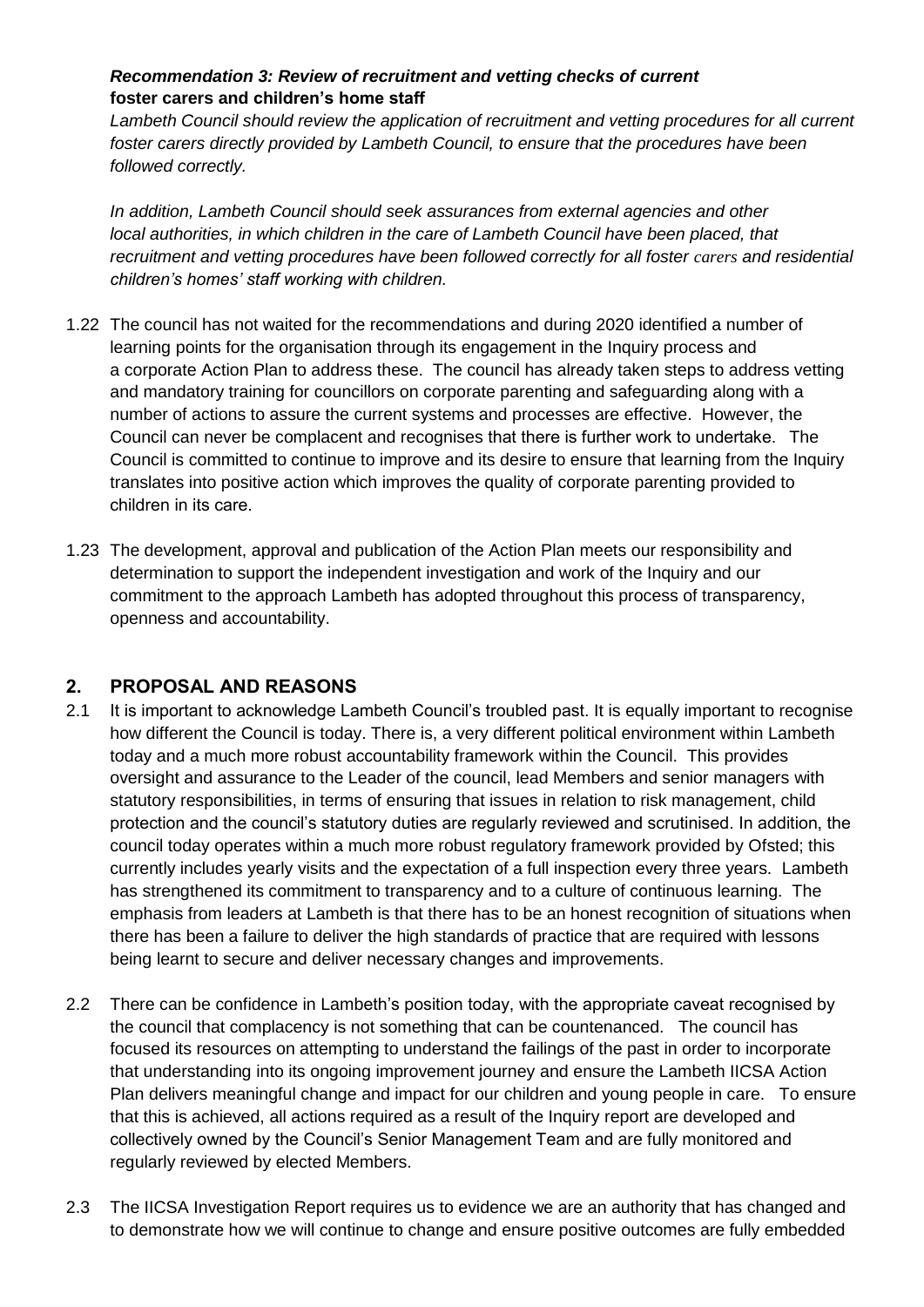### *Recommendation 3: Review of recruitment and vetting checks of current* **foster carers and children's home staff**

*Lambeth Council should review the application of recruitment and vetting procedures for all current foster carers directly provided by Lambeth Council, to ensure that the procedures have been followed correctly.*

*In addition, Lambeth Council should seek assurances from external agencies and other local authorities, in which children in the care of Lambeth Council have been placed, that recruitment and vetting procedures have been followed correctly for all foster carers and residential children's homes' staff working with children.*

- 1.22 The council has not waited for the recommendations and during 2020 identified a number of learning points for the organisation through its engagement in the Inquiry process and a corporate Action Plan to address these. The council has already taken steps to address vetting and mandatory training for councillors on corporate parenting and safeguarding along with a number of actions to assure the current systems and processes are effective. However, the Council can never be complacent and recognises that there is further work to undertake.  The Council is committed to continue to improve and its desire to ensure that learning from the Inquiry translates into positive action which improves the quality of corporate parenting provided to children in its care.
- 1.23 The development, approval and publication of the Action Plan meets our responsibility and determination to support the independent investigation and work of the Inquiry and our commitment to the approach Lambeth has adopted throughout this process of transparency, openness and accountability.

### **2. PROPOSAL AND REASONS**

- 2.1 It is important to acknowledge Lambeth Council's troubled past. It is equally important to recognise how different the Council is today. There is, a very different political environment within Lambeth today and a much more robust accountability framework within the Council. This provides oversight and assurance to the Leader of the council, lead Members and senior managers with statutory responsibilities, in terms of ensuring that issues in relation to risk management, child protection and the council's statutory duties are regularly reviewed and scrutinised. In addition, the council today operates within a much more robust regulatory framework provided by Ofsted; this currently includes yearly visits and the expectation of a full inspection every three years. Lambeth has strengthened its commitment to transparency and to a culture of continuous learning. The emphasis from leaders at Lambeth is that there has to be an honest recognition of situations when there has been a failure to deliver the high standards of practice that are required with lessons being learnt to secure and deliver necessary changes and improvements.
- 2.2 There can be confidence in Lambeth's position today, with the appropriate caveat recognised by the council that complacency is not something that can be countenanced. The council has focused its resources on attempting to understand the failings of the past in order to incorporate that understanding into its ongoing improvement journey and ensure the Lambeth IICSA Action Plan delivers meaningful change and impact for our children and young people in care. To ensure that this is achieved, all actions required as a result of the Inquiry report are developed and collectively owned by the Council's Senior Management Team and are fully monitored and regularly reviewed by elected Members.
- 2.3 The IICSA Investigation Report requires us to evidence we are an authority that has changed and to demonstrate how we will continue to change and ensure positive outcomes are fully embedded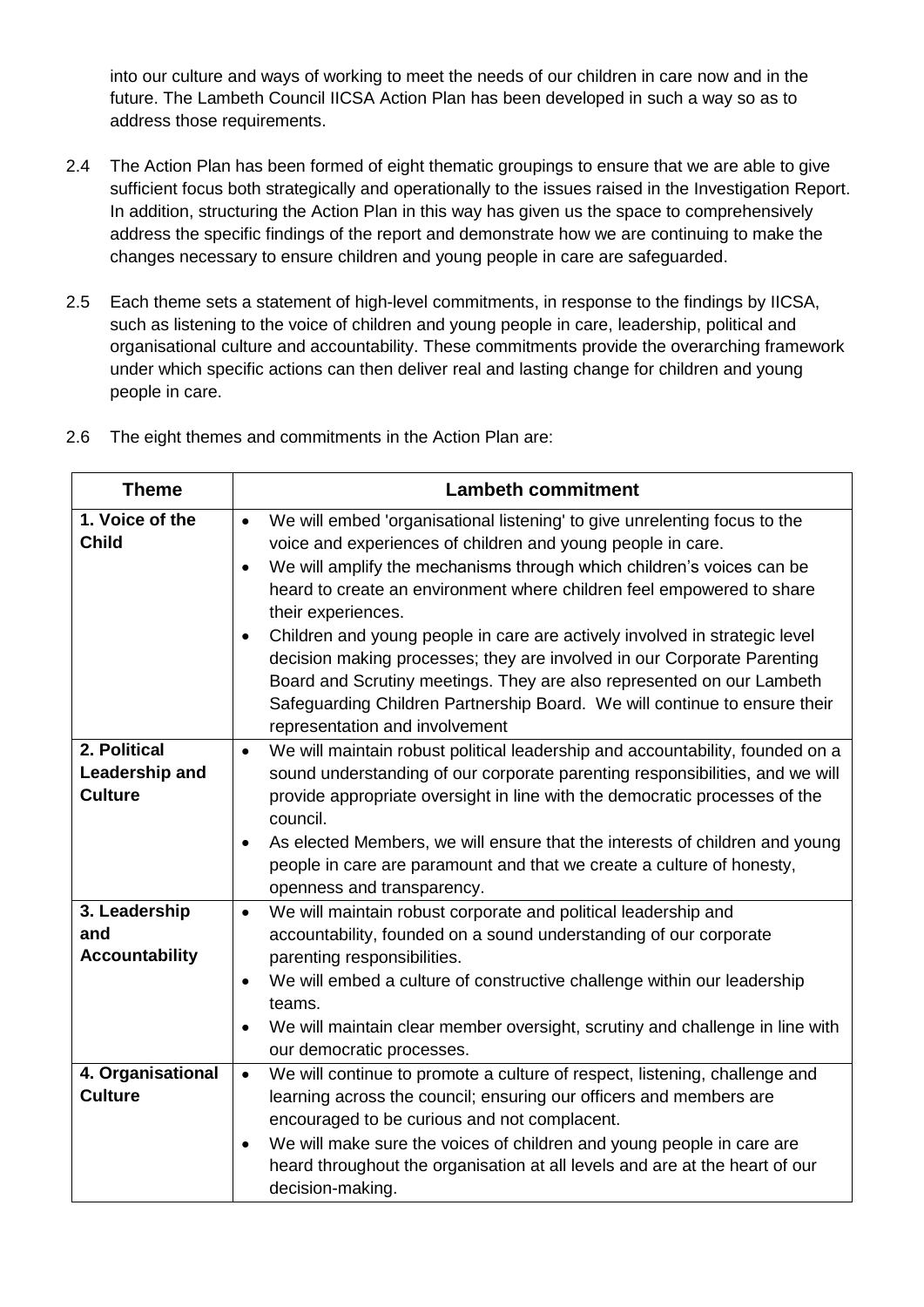into our culture and ways of working to meet the needs of our children in care now and in the future. The Lambeth Council IICSA Action Plan has been developed in such a way so as to address those requirements.

- 2.4 The Action Plan has been formed of eight thematic groupings to ensure that we are able to give sufficient focus both strategically and operationally to the issues raised in the Investigation Report. In addition, structuring the Action Plan in this way has given us the space to comprehensively address the specific findings of the report and demonstrate how we are continuing to make the changes necessary to ensure children and young people in care are safeguarded.
- 2.5 Each theme sets a statement of high-level commitments, in response to the findings by IICSA, such as listening to the voice of children and young people in care, leadership, political and organisational culture and accountability. These commitments provide the overarching framework under which specific actions can then deliver real and lasting change for children and young people in care.

| <b>Theme</b>                                     | <b>Lambeth commitment</b>                                                                                                                                                                                                                                                                                                                                                                                                                                                                                                                                                                                                                                                                   |
|--------------------------------------------------|---------------------------------------------------------------------------------------------------------------------------------------------------------------------------------------------------------------------------------------------------------------------------------------------------------------------------------------------------------------------------------------------------------------------------------------------------------------------------------------------------------------------------------------------------------------------------------------------------------------------------------------------------------------------------------------------|
| 1. Voice of the<br><b>Child</b>                  | We will embed 'organisational listening' to give unrelenting focus to the<br>$\bullet$<br>voice and experiences of children and young people in care.<br>We will amplify the mechanisms through which children's voices can be<br>$\bullet$<br>heard to create an environment where children feel empowered to share<br>their experiences.<br>Children and young people in care are actively involved in strategic level<br>decision making processes; they are involved in our Corporate Parenting<br>Board and Scrutiny meetings. They are also represented on our Lambeth<br>Safeguarding Children Partnership Board. We will continue to ensure their<br>representation and involvement |
| 2. Political<br>Leadership and<br><b>Culture</b> | We will maintain robust political leadership and accountability, founded on a<br>$\bullet$<br>sound understanding of our corporate parenting responsibilities, and we will<br>provide appropriate oversight in line with the democratic processes of the<br>council.<br>As elected Members, we will ensure that the interests of children and young<br>$\bullet$<br>people in care are paramount and that we create a culture of honesty,<br>openness and transparency.                                                                                                                                                                                                                     |
| 3. Leadership<br>and<br><b>Accountability</b>    | We will maintain robust corporate and political leadership and<br>$\bullet$<br>accountability, founded on a sound understanding of our corporate<br>parenting responsibilities.<br>We will embed a culture of constructive challenge within our leadership<br>$\bullet$<br>teams.<br>We will maintain clear member oversight, scrutiny and challenge in line with<br>our democratic processes.                                                                                                                                                                                                                                                                                              |
| 4. Organisational<br><b>Culture</b>              | We will continue to promote a culture of respect, listening, challenge and<br>$\bullet$<br>learning across the council; ensuring our officers and members are<br>encouraged to be curious and not complacent.<br>We will make sure the voices of children and young people in care are<br>$\bullet$<br>heard throughout the organisation at all levels and are at the heart of our<br>decision-making.                                                                                                                                                                                                                                                                                      |

2.6 The eight themes and commitments in the Action Plan are: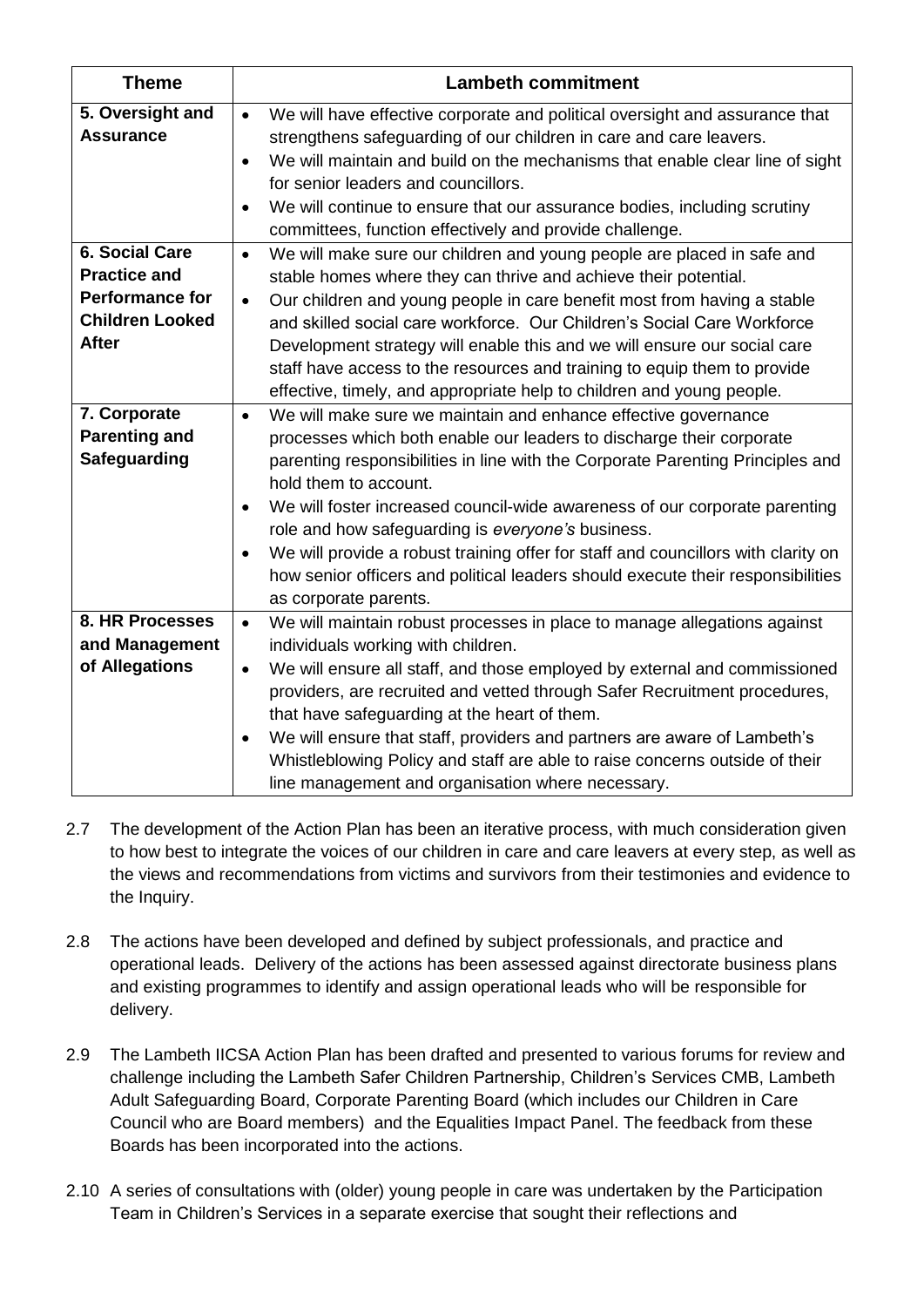| <b>Theme</b>                                                                                                     | <b>Lambeth commitment</b>                                                                                                                                                                                                                                                                                                                                                                                                                                                                                                                                                                          |
|------------------------------------------------------------------------------------------------------------------|----------------------------------------------------------------------------------------------------------------------------------------------------------------------------------------------------------------------------------------------------------------------------------------------------------------------------------------------------------------------------------------------------------------------------------------------------------------------------------------------------------------------------------------------------------------------------------------------------|
| 5. Oversight and<br><b>Assurance</b>                                                                             | We will have effective corporate and political oversight and assurance that<br>$\bullet$<br>strengthens safeguarding of our children in care and care leavers.<br>We will maintain and build on the mechanisms that enable clear line of sight<br>$\bullet$<br>for senior leaders and councillors.<br>We will continue to ensure that our assurance bodies, including scrutiny<br>committees, function effectively and provide challenge.                                                                                                                                                          |
| <b>6. Social Care</b><br><b>Practice and</b><br><b>Performance for</b><br><b>Children Looked</b><br><b>After</b> | We will make sure our children and young people are placed in safe and<br>$\bullet$<br>stable homes where they can thrive and achieve their potential.<br>Our children and young people in care benefit most from having a stable<br>and skilled social care workforce. Our Children's Social Care Workforce<br>Development strategy will enable this and we will ensure our social care<br>staff have access to the resources and training to equip them to provide<br>effective, timely, and appropriate help to children and young people.                                                      |
| 7. Corporate<br><b>Parenting and</b><br><b>Safeguarding</b>                                                      | We will make sure we maintain and enhance effective governance<br>$\bullet$<br>processes which both enable our leaders to discharge their corporate<br>parenting responsibilities in line with the Corporate Parenting Principles and<br>hold them to account.<br>We will foster increased council-wide awareness of our corporate parenting<br>role and how safeguarding is everyone's business.<br>We will provide a robust training offer for staff and councillors with clarity on<br>how senior officers and political leaders should execute their responsibilities<br>as corporate parents. |
| 8. HR Processes<br>and Management<br>of Allegations                                                              | We will maintain robust processes in place to manage allegations against<br>$\bullet$<br>individuals working with children.<br>We will ensure all staff, and those employed by external and commissioned<br>$\bullet$<br>providers, are recruited and vetted through Safer Recruitment procedures,<br>that have safeguarding at the heart of them.<br>We will ensure that staff, providers and partners are aware of Lambeth's<br>Whistleblowing Policy and staff are able to raise concerns outside of their<br>line management and organisation where necessary.                                 |

- 2.7 The development of the Action Plan has been an iterative process, with much consideration given to how best to integrate the voices of our children in care and care leavers at every step, as well as the views and recommendations from victims and survivors from their testimonies and evidence to the Inquiry.
- 2.8 The actions have been developed and defined by subject professionals, and practice and operational leads. Delivery of the actions has been assessed against directorate business plans and existing programmes to identify and assign operational leads who will be responsible for delivery.
- 2.9 The Lambeth IICSA Action Plan has been drafted and presented to various forums for review and challenge including the Lambeth Safer Children Partnership, Children's Services CMB, Lambeth Adult Safeguarding Board, Corporate Parenting Board (which includes our Children in Care Council who are Board members) and the Equalities Impact Panel. The feedback from these Boards has been incorporated into the actions.
- 2.10 A series of consultations with (older) young people in care was undertaken by the Participation Team in Children's Services in a separate exercise that sought their reflections and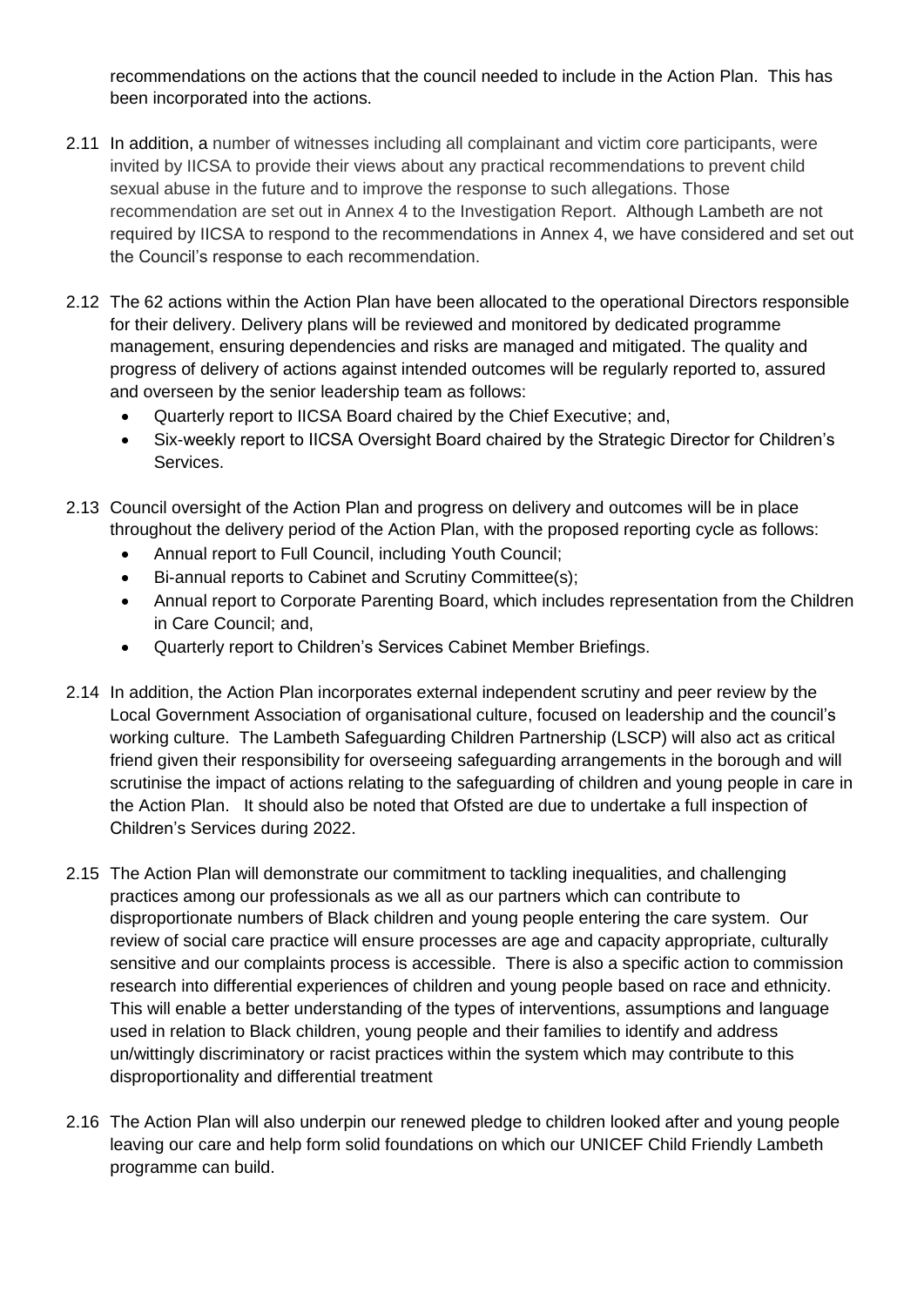recommendations on the actions that the council needed to include in the Action Plan. This has been incorporated into the actions.

- 2.11 In addition, a number of witnesses including all complainant and victim core participants, were invited by IICSA to provide their views about any practical recommendations to prevent child sexual abuse in the future and to improve the response to such allegations. Those recommendation are set out in Annex 4 to the Investigation Report. Although Lambeth are not required by IICSA to respond to the recommendations in Annex 4, we have considered and set out the Council's response to each recommendation.
- 2.12 The 62 actions within the Action Plan have been allocated to the operational Directors responsible for their delivery. Delivery plans will be reviewed and monitored by dedicated programme management, ensuring dependencies and risks are managed and mitigated. The quality and progress of delivery of actions against intended outcomes will be regularly reported to, assured and overseen by the senior leadership team as follows:
	- Quarterly report to IICSA Board chaired by the Chief Executive; and,
	- Six-weekly report to IICSA Oversight Board chaired by the Strategic Director for Children's Services.
- 2.13 Council oversight of the Action Plan and progress on delivery and outcomes will be in place throughout the delivery period of the Action Plan, with the proposed reporting cycle as follows:
	- Annual report to Full Council, including Youth Council;
	- Bi-annual reports to Cabinet and Scrutiny Committee(s);
	- Annual report to Corporate Parenting Board, which includes representation from the Children in Care Council; and,
	- Quarterly report to Children's Services Cabinet Member Briefings.
- 2.14 In addition, the Action Plan incorporates external independent scrutiny and peer review by the Local Government Association of organisational culture, focused on leadership and the council's working culture. The Lambeth Safeguarding Children Partnership (LSCP) will also act as critical friend given their responsibility for overseeing safeguarding arrangements in the borough and will scrutinise the impact of actions relating to the safeguarding of children and young people in care in the Action Plan. It should also be noted that Ofsted are due to undertake a full inspection of Children's Services during 2022.
- 2.15 The Action Plan will demonstrate our commitment to tackling inequalities, and challenging practices among our professionals as we all as our partners which can contribute to disproportionate numbers of Black children and young people entering the care system. Our review of social care practice will ensure processes are age and capacity appropriate, culturally sensitive and our complaints process is accessible. There is also a specific action to commission research into differential experiences of children and young people based on race and ethnicity. This will enable a better understanding of the types of interventions, assumptions and language used in relation to Black children, young people and their families to identify and address un/wittingly discriminatory or racist practices within the system which may contribute to this disproportionality and differential treatment
- 2.16 The Action Plan will also underpin our renewed pledge to children looked after and young people leaving our care and help form solid foundations on which our UNICEF Child Friendly Lambeth programme can build.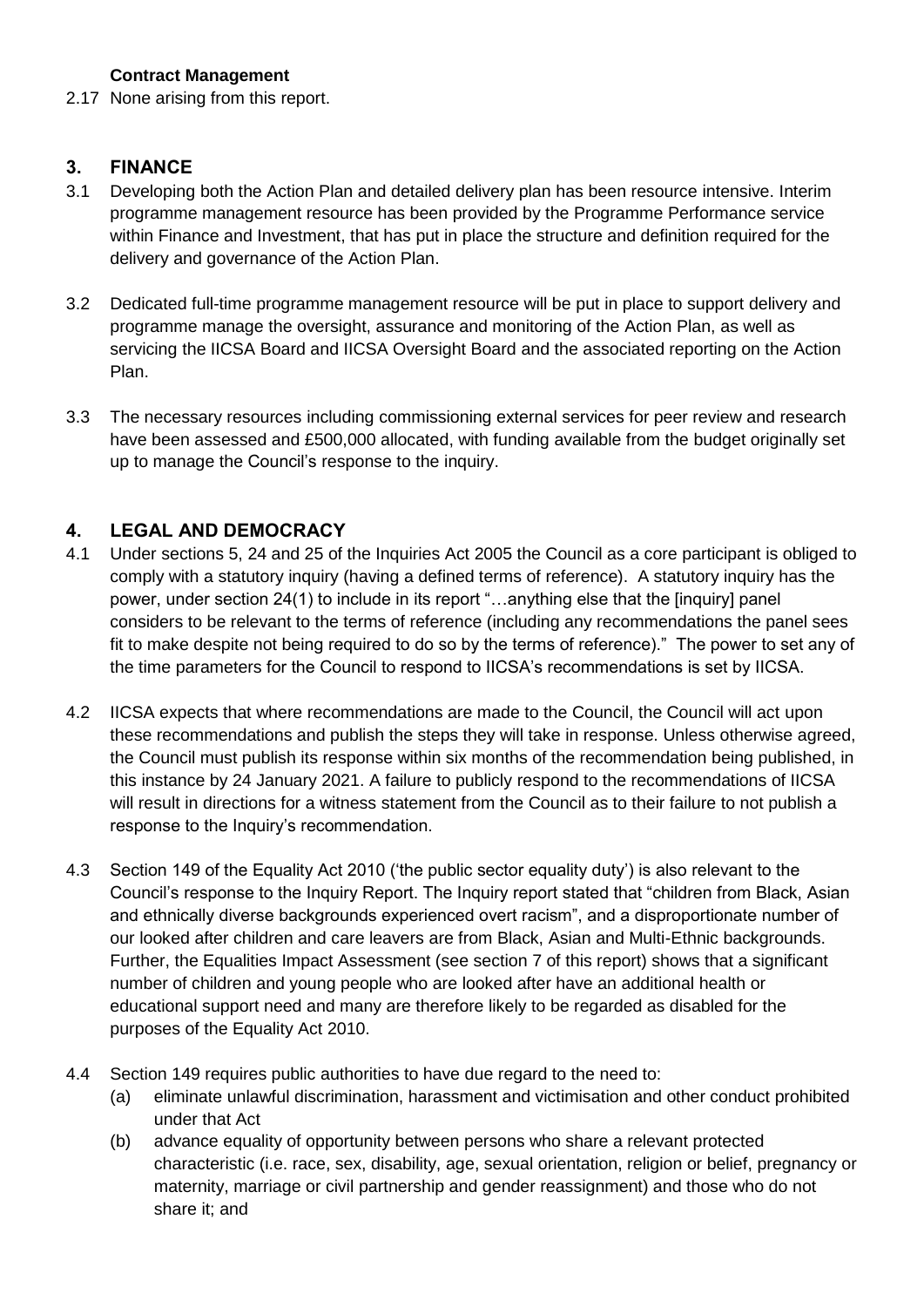#### **Contract Management**

2.17 None arising from this report.

#### **3. FINANCE**

- 3.1 Developing both the Action Plan and detailed delivery plan has been resource intensive. Interim programme management resource has been provided by the Programme Performance service within Finance and Investment, that has put in place the structure and definition required for the delivery and governance of the Action Plan.
- 3.2 Dedicated full-time programme management resource will be put in place to support delivery and programme manage the oversight, assurance and monitoring of the Action Plan, as well as servicing the IICSA Board and IICSA Oversight Board and the associated reporting on the Action Plan.
- 3.3 The necessary resources including commissioning external services for peer review and research have been assessed and £500,000 allocated, with funding available from the budget originally set up to manage the Council's response to the inquiry.

### **4. LEGAL AND DEMOCRACY**

- 4.1 Under sections 5, 24 and 25 of the Inquiries Act 2005 the Council as a core participant is obliged to comply with a statutory inquiry (having a defined terms of reference). A statutory inquiry has the power, under section 24(1) to include in its report "…anything else that the [inquiry] panel considers to be relevant to the terms of reference (including any recommendations the panel sees fit to make despite not being required to do so by the terms of reference)." The power to set any of the time parameters for the Council to respond to IICSA's recommendations is set by IICSA.
- 4.2 IICSA expects that where recommendations are made to the Council, the Council will act upon these recommendations and publish the steps they will take in response. Unless otherwise agreed, the Council must publish its response within six months of the recommendation being published, in this instance by 24 January 2021. A failure to publicly respond to the recommendations of IICSA will result in directions for a witness statement from the Council as to their failure to not publish a response to the Inquiry's recommendation.
- 4.3 Section 149 of the Equality Act 2010 ('the public sector equality duty') is also relevant to the Council's response to the Inquiry Report. The Inquiry report stated that "children from Black, Asian and ethnically diverse backgrounds experienced overt racism", and a disproportionate number of our looked after children and care leavers are from Black, Asian and Multi-Ethnic backgrounds. Further, the Equalities Impact Assessment (see section 7 of this report) shows that a significant number of children and young people who are looked after have an additional health or educational support need and many are therefore likely to be regarded as disabled for the purposes of the Equality Act 2010.
- 4.4 Section 149 requires public authorities to have due regard to the need to:
	- (a) eliminate unlawful discrimination, harassment and victimisation and other conduct prohibited under that Act
	- (b) advance equality of opportunity between persons who share a relevant protected characteristic (i.e. race, sex, disability, age, sexual orientation, religion or belief, pregnancy or maternity, marriage or civil partnership and gender reassignment) and those who do not share it; and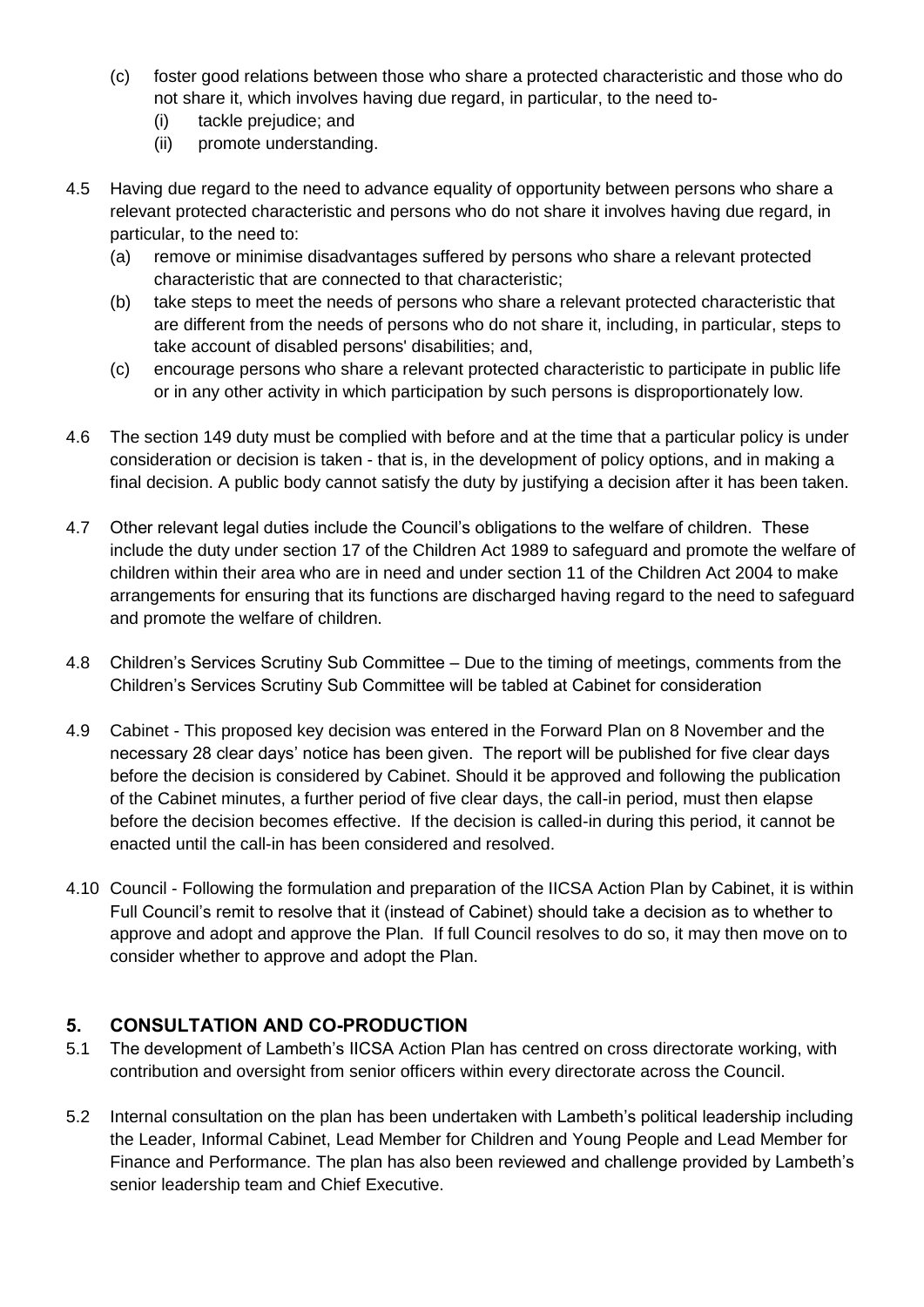- (c) foster good relations between those who share a protected characteristic and those who do not share it, which involves having due regard, in particular, to the need to-
	- (i) tackle prejudice; and
	- (ii) promote understanding.
- 4.5 Having due regard to the need to advance equality of opportunity between persons who share a relevant protected characteristic and persons who do not share it involves having due regard, in particular, to the need to:
	- (a) remove or minimise disadvantages suffered by persons who share a relevant protected characteristic that are connected to that characteristic;
	- (b) take steps to meet the needs of persons who share a relevant protected characteristic that are different from the needs of persons who do not share it, including, in particular, steps to take account of disabled persons' disabilities; and,
	- (c) encourage persons who share a relevant protected characteristic to participate in public life or in any other activity in which participation by such persons is disproportionately low.
- 4.6 The section 149 duty must be complied with before and at the time that a particular policy is under consideration or decision is taken - that is, in the development of policy options, and in making a final decision. A public body cannot satisfy the duty by justifying a decision after it has been taken.
- 4.7 Other relevant legal duties include the Council's obligations to the welfare of children. These include the duty under section 17 of the Children Act 1989 to safeguard and promote the welfare of children within their area who are in need and under section 11 of the Children Act 2004 to make arrangements for ensuring that its functions are discharged having regard to the need to safeguard and promote the welfare of children.
- 4.8 Children's Services Scrutiny Sub Committee Due to the timing of meetings, comments from the Children's Services Scrutiny Sub Committee will be tabled at Cabinet for consideration
- 4.9 Cabinet This proposed key decision was entered in the Forward Plan on 8 November and the necessary 28 clear days' notice has been given. The report will be published for five clear days before the decision is considered by Cabinet. Should it be approved and following the publication of the Cabinet minutes, a further period of five clear days, the call-in period, must then elapse before the decision becomes effective. If the decision is called-in during this period, it cannot be enacted until the call-in has been considered and resolved.
- 4.10 Council Following the formulation and preparation of the IICSA Action Plan by Cabinet, it is within Full Council's remit to resolve that it (instead of Cabinet) should take a decision as to whether to approve and adopt and approve the Plan. If full Council resolves to do so, it may then move on to consider whether to approve and adopt the Plan.

### **5. CONSULTATION AND CO-PRODUCTION**

- 5.1 The development of Lambeth's IICSA Action Plan has centred on cross directorate working, with contribution and oversight from senior officers within every directorate across the Council.
- 5.2 Internal consultation on the plan has been undertaken with Lambeth's political leadership including the Leader, Informal Cabinet, Lead Member for Children and Young People and Lead Member for Finance and Performance. The plan has also been reviewed and challenge provided by Lambeth's senior leadership team and Chief Executive.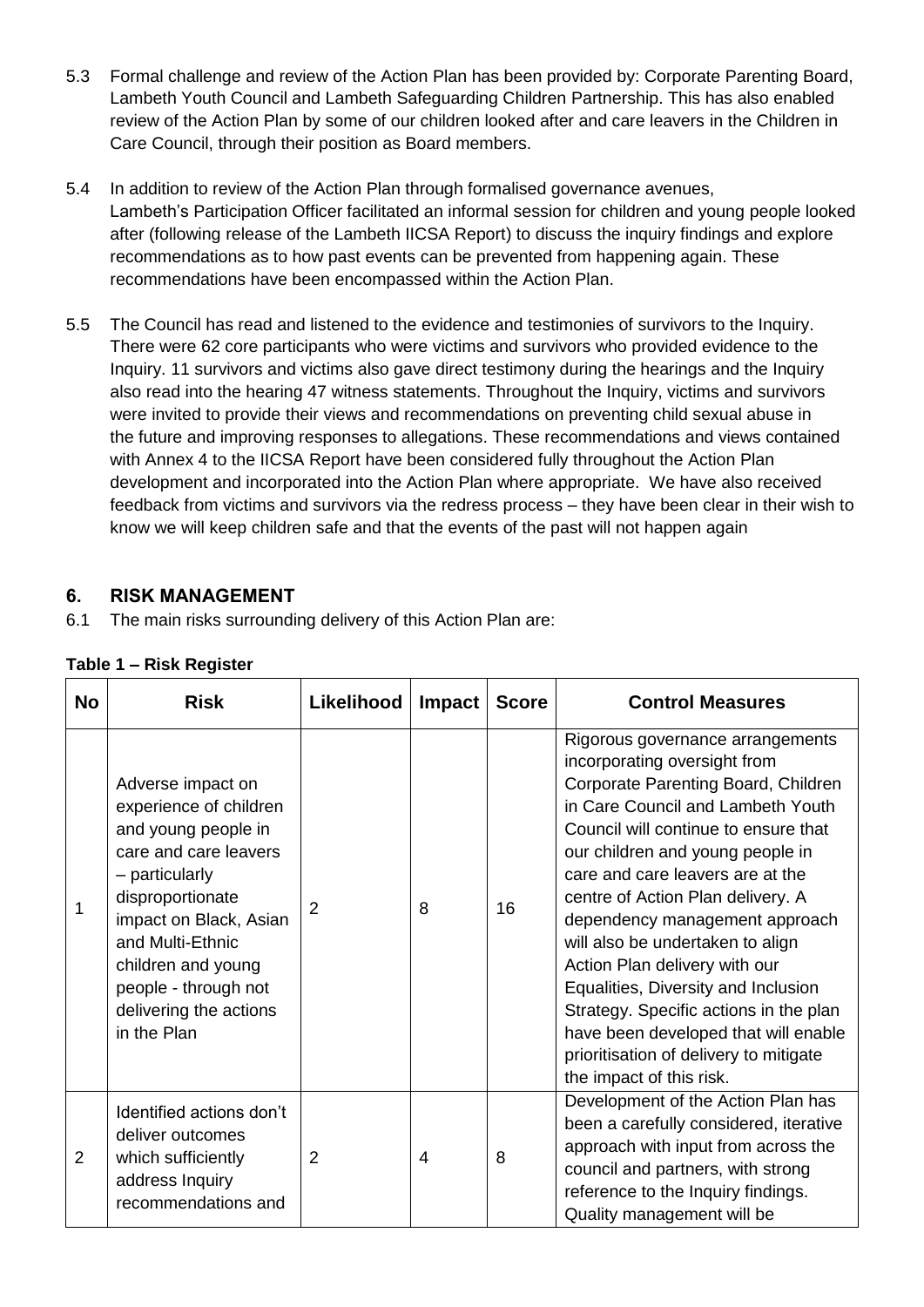- 5.3 Formal challenge and review of the Action Plan has been provided by: Corporate Parenting Board, Lambeth Youth Council and Lambeth Safeguarding Children Partnership. This has also enabled review of the Action Plan by some of our children looked after and care leavers in the Children in Care Council, through their position as Board members.
- 5.4 In addition to review of the Action Plan through formalised governance avenues, Lambeth's Participation Officer facilitated an informal session for children and young people looked after (following release of the Lambeth IICSA Report) to discuss the inquiry findings and explore recommendations as to how past events can be prevented from happening again. These recommendations have been encompassed within the Action Plan.
- 5.5 The Council has read and listened to the evidence and testimonies of survivors to the Inquiry. There were 62 core participants who were victims and survivors who provided evidence to the Inquiry. 11 survivors and victims also gave direct testimony during the hearings and the Inquiry also read into the hearing 47 witness statements. Throughout the Inquiry, victims and survivors were invited to provide their views and recommendations on preventing child sexual abuse in the future and improving responses to allegations. These recommendations and views contained with Annex 4 to the IICSA Report have been considered fully throughout the Action Plan development and incorporated into the Action Plan where appropriate. We have also received feedback from victims and survivors via the redress process – they have been clear in their wish to know we will keep children safe and that the events of the past will not happen again

### **6. RISK MANAGEMENT**

6.1 The main risks surrounding delivery of this Action Plan are:

| Table 1 – Risk Register |  |  |  |  |  |
|-------------------------|--|--|--|--|--|
|-------------------------|--|--|--|--|--|

| <b>No</b> | <b>Risk</b>                                                                                                                                                                                                                                                            | Likelihood     | <b>Impact</b> | <b>Score</b> | <b>Control Measures</b>                                                                                                                                                                                                                                                                                                                                                                                                                                                                                                                                                                                 |
|-----------|------------------------------------------------------------------------------------------------------------------------------------------------------------------------------------------------------------------------------------------------------------------------|----------------|---------------|--------------|---------------------------------------------------------------------------------------------------------------------------------------------------------------------------------------------------------------------------------------------------------------------------------------------------------------------------------------------------------------------------------------------------------------------------------------------------------------------------------------------------------------------------------------------------------------------------------------------------------|
| 1         | Adverse impact on<br>experience of children<br>and young people in<br>care and care leavers<br>- particularly<br>disproportionate<br>impact on Black, Asian<br>and Multi-Ethnic<br>children and young<br>people - through not<br>delivering the actions<br>in the Plan | 2              | 8             | 16           | Rigorous governance arrangements<br>incorporating oversight from<br>Corporate Parenting Board, Children<br>in Care Council and Lambeth Youth<br>Council will continue to ensure that<br>our children and young people in<br>care and care leavers are at the<br>centre of Action Plan delivery. A<br>dependency management approach<br>will also be undertaken to align<br>Action Plan delivery with our<br>Equalities, Diversity and Inclusion<br>Strategy. Specific actions in the plan<br>have been developed that will enable<br>prioritisation of delivery to mitigate<br>the impact of this risk. |
| 2         | Identified actions don't<br>deliver outcomes<br>which sufficiently<br>address Inquiry<br>recommendations and                                                                                                                                                           | $\overline{2}$ | 4             | 8            | Development of the Action Plan has<br>been a carefully considered, iterative<br>approach with input from across the<br>council and partners, with strong<br>reference to the Inquiry findings.<br>Quality management will be                                                                                                                                                                                                                                                                                                                                                                            |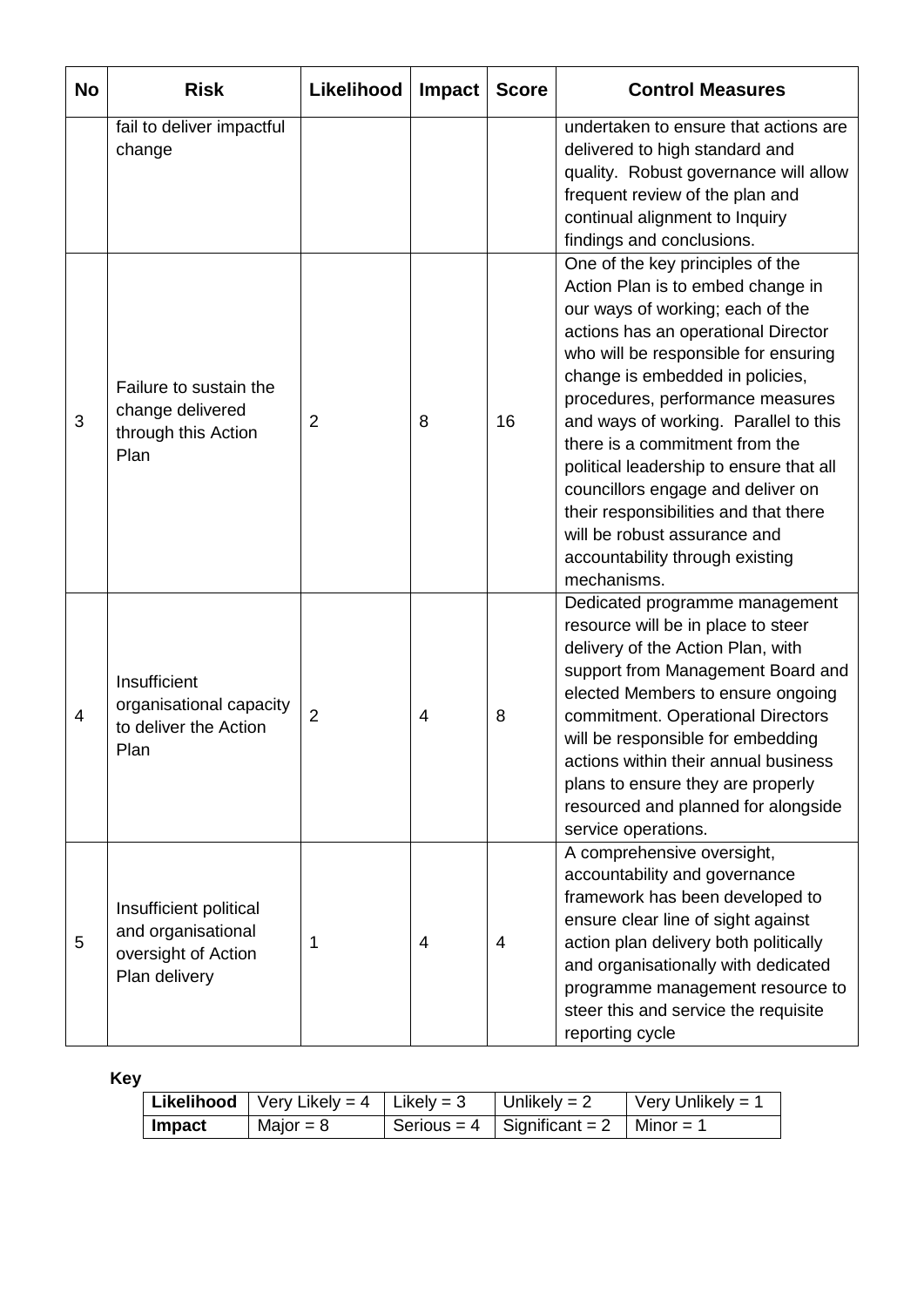| <b>No</b>      | <b>Risk</b>                                                                          | Likelihood     | <b>Impact</b> | <b>Score</b> | <b>Control Measures</b>                                                                                                                                                                                                                                                                                                                                                                                                                                                                                                                               |
|----------------|--------------------------------------------------------------------------------------|----------------|---------------|--------------|-------------------------------------------------------------------------------------------------------------------------------------------------------------------------------------------------------------------------------------------------------------------------------------------------------------------------------------------------------------------------------------------------------------------------------------------------------------------------------------------------------------------------------------------------------|
|                | fail to deliver impactful<br>change                                                  |                |               |              | undertaken to ensure that actions are<br>delivered to high standard and<br>quality. Robust governance will allow<br>frequent review of the plan and<br>continual alignment to Inquiry<br>findings and conclusions.                                                                                                                                                                                                                                                                                                                                    |
| 3              | Failure to sustain the<br>change delivered<br>through this Action<br>Plan            | $\overline{2}$ | 8             | 16           | One of the key principles of the<br>Action Plan is to embed change in<br>our ways of working; each of the<br>actions has an operational Director<br>who will be responsible for ensuring<br>change is embedded in policies,<br>procedures, performance measures<br>and ways of working. Parallel to this<br>there is a commitment from the<br>political leadership to ensure that all<br>councillors engage and deliver on<br>their responsibilities and that there<br>will be robust assurance and<br>accountability through existing<br>mechanisms. |
| $\overline{4}$ | Insufficient<br>organisational capacity<br>to deliver the Action<br>Plan             | $\overline{2}$ | 4             | 8            | Dedicated programme management<br>resource will be in place to steer<br>delivery of the Action Plan, with<br>support from Management Board and<br>elected Members to ensure ongoing<br>commitment. Operational Directors<br>will be responsible for embedding<br>actions within their annual business<br>plans to ensure they are properly<br>resourced and planned for alongside<br>service operations.                                                                                                                                              |
| 5              | Insufficient political<br>and organisational<br>oversight of Action<br>Plan delivery | 1              | 4             | 4            | A comprehensive oversight,<br>accountability and governance<br>framework has been developed to<br>ensure clear line of sight against<br>action plan delivery both politically<br>and organisationally with dedicated<br>programme management resource to<br>steer this and service the requisite<br>reporting cycle                                                                                                                                                                                                                                   |

**Key**

|        | <b>Likelihood</b>   Very Likely = $4$   Likely = 3 | Unlikely = $2$                            | $\sqrt{\frac{1}{1}}$ Very Unlikely = 1 |
|--------|----------------------------------------------------|-------------------------------------------|----------------------------------------|
| Impact | Major = $8$                                        | Serious = 4   Significant = 2   Minor = 1 |                                        |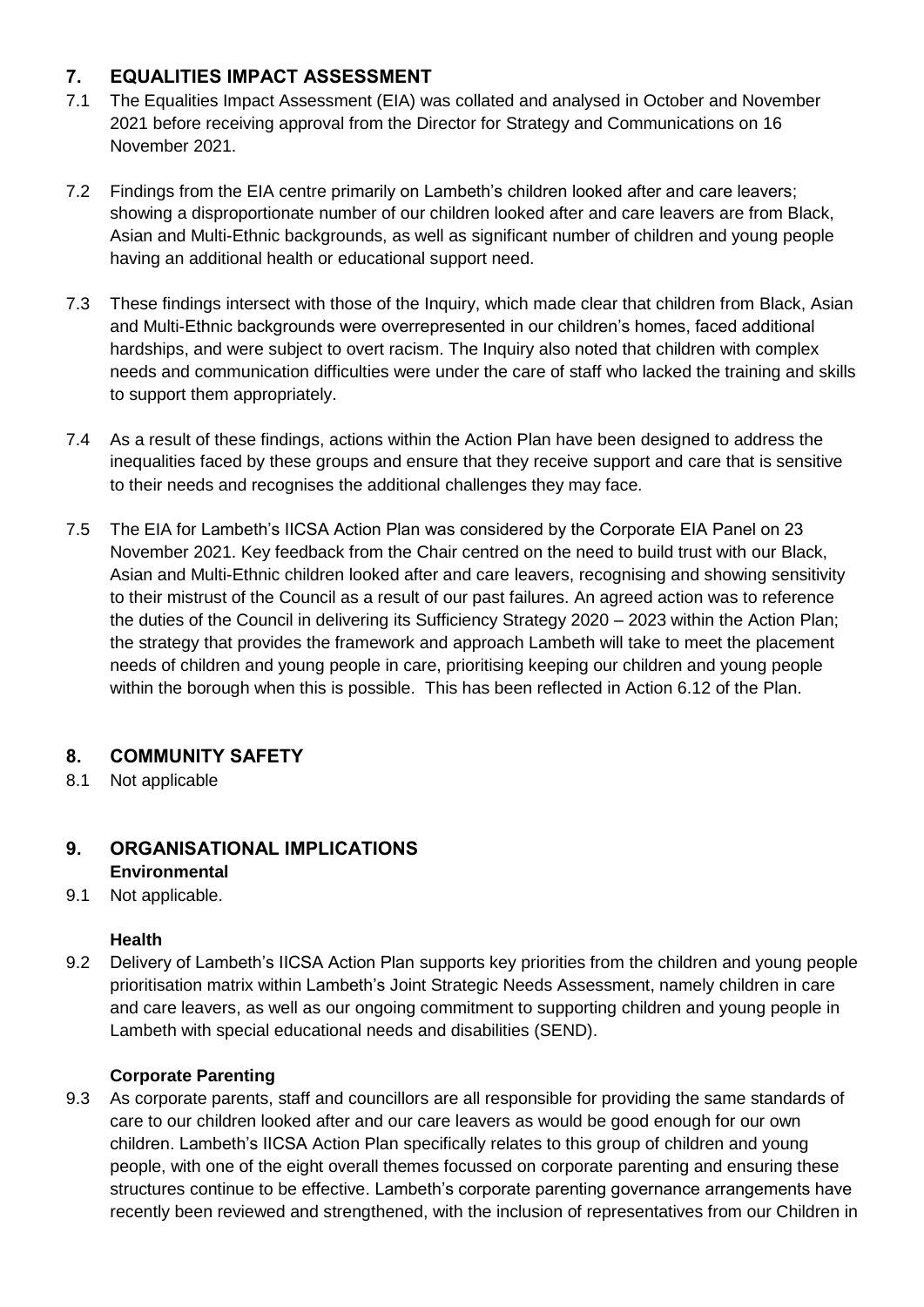### **7. EQUALITIES IMPACT ASSESSMENT**

- 7.1 The Equalities Impact Assessment (EIA) was collated and analysed in October and November 2021 before receiving approval from the Director for Strategy and Communications on 16 November 2021.
- 7.2 Findings from the EIA centre primarily on Lambeth's children looked after and care leavers; showing a disproportionate number of our children looked after and care leavers are from Black, Asian and Multi-Ethnic backgrounds, as well as significant number of children and young people having an additional health or educational support need.
- 7.3 These findings intersect with those of the Inquiry, which made clear that children from Black, Asian and Multi-Ethnic backgrounds were overrepresented in our children's homes, faced additional hardships, and were subject to overt racism. The Inquiry also noted that children with complex needs and communication difficulties were under the care of staff who lacked the training and skills to support them appropriately.
- 7.4 As a result of these findings, actions within the Action Plan have been designed to address the inequalities faced by these groups and ensure that they receive support and care that is sensitive to their needs and recognises the additional challenges they may face.
- 7.5 The EIA for Lambeth's IICSA Action Plan was considered by the Corporate EIA Panel on 23 November 2021. Key feedback from the Chair centred on the need to build trust with our Black, Asian and Multi-Ethnic children looked after and care leavers, recognising and showing sensitivity to their mistrust of the Council as a result of our past failures. An agreed action was to reference the duties of the Council in delivering its Sufficiency Strategy 2020 – 2023 within the Action Plan; the strategy that provides the framework and approach Lambeth will take to meet the placement needs of children and young people in care, prioritising keeping our children and young people within the borough when this is possible. This has been reflected in Action 6.12 of the Plan.

# **8. COMMUNITY SAFETY**

8.1 Not applicable

# **9. ORGANISATIONAL IMPLICATIONS Environmental**

9.1 Not applicable.

#### **Health**

9.2 Delivery of Lambeth's IICSA Action Plan supports key priorities from the children and young people prioritisation matrix within Lambeth's Joint Strategic Needs Assessment, namely children in care and care leavers, as well as our ongoing commitment to supporting children and young people in Lambeth with special educational needs and disabilities (SEND).

#### **Corporate Parenting**

9.3 As corporate parents, staff and councillors are all responsible for providing the same standards of care to our children looked after and our care leavers as would be good enough for our own children. Lambeth's IICSA Action Plan specifically relates to this group of children and young people, with one of the eight overall themes focussed on corporate parenting and ensuring these structures continue to be effective. Lambeth's corporate parenting governance arrangements have recently been reviewed and strengthened, with the inclusion of representatives from our Children in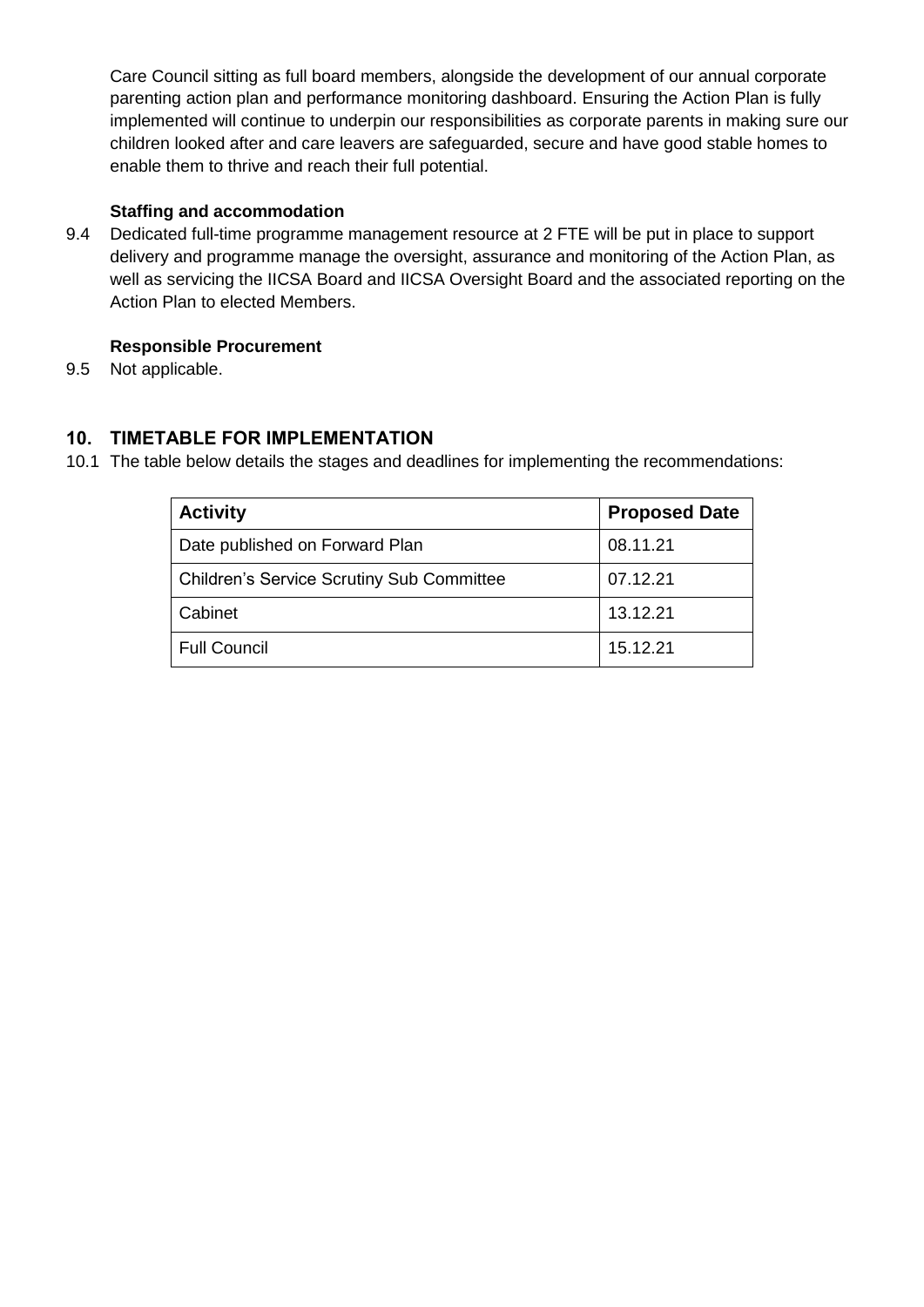Care Council sitting as full board members, alongside the development of our annual corporate parenting action plan and performance monitoring dashboard. Ensuring the Action Plan is fully implemented will continue to underpin our responsibilities as corporate parents in making sure our children looked after and care leavers are safeguarded, secure and have good stable homes to enable them to thrive and reach their full potential.

#### **Staffing and accommodation**

9.4 Dedicated full-time programme management resource at 2 FTE will be put in place to support delivery and programme manage the oversight, assurance and monitoring of the Action Plan, as well as servicing the IICSA Board and IICSA Oversight Board and the associated reporting on the Action Plan to elected Members.

#### **Responsible Procurement**

9.5 Not applicable.

#### **10. TIMETABLE FOR IMPLEMENTATION**

10.1 The table below details the stages and deadlines for implementing the recommendations:

| <b>Activity</b>                                  | <b>Proposed Date</b> |
|--------------------------------------------------|----------------------|
| Date published on Forward Plan                   | 08.11.21             |
| <b>Children's Service Scrutiny Sub Committee</b> | 07.12.21             |
| Cabinet                                          | 13.12.21             |
| <b>Full Council</b>                              | 15.12.21             |